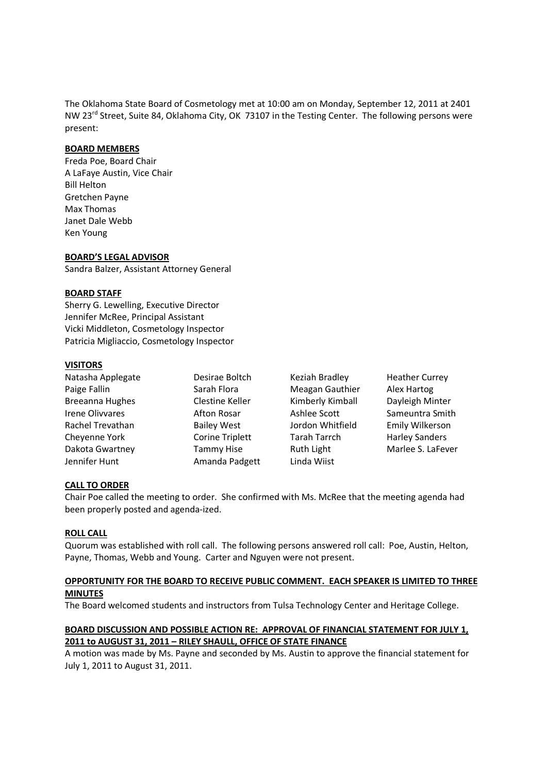The Oklahoma State Board of Cosmetology met at 10:00 am on Monday, September 12, 2011 at 2401 NW 23<sup>rd</sup> Street, Suite 84, Oklahoma City, OK 73107 in the Testing Center. The following persons were present:

#### **BOARD MEMBERS**

Freda Poe, Board Chair A LaFaye Austin, Vice Chair Bill Helton Gretchen Payne Max Thomas Janet Dale Webb Ken Young

#### **BOARD'S LEGAL ADVISOR**

Sandra Balzer, Assistant Attorney General

#### **BOARD STAFF**

Sherry G. Lewelling, Executive Director Jennifer McRee, Principal Assistant Vicki Middleton, Cosmetology Inspector Patricia Migliaccio, Cosmetology Inspector

#### **VISITORS**

| Natasha Applegate      | Desirae Boltch         | Keziah Bradley   | <b>Heather Currey</b> |
|------------------------|------------------------|------------------|-----------------------|
| Paige Fallin           | Sarah Flora            | Meagan Gauthier  | Alex Hartog           |
| <b>Breeanna Hughes</b> | Clestine Keller        | Kimberly Kimball | Dayleigh Minter       |
| <b>Irene Olivvares</b> | Afton Rosar            | Ashlee Scott     | Sameuntra Smith       |
| Rachel Trevathan       | <b>Bailey West</b>     | Jordon Whitfield | Emily Wilkerson       |
| Cheyenne York          | <b>Corine Triplett</b> | Tarah Tarrch     | <b>Harley Sanders</b> |
| Dakota Gwartney        | <b>Tammy Hise</b>      | Ruth Light       | Marlee S. LaFever     |
| Jennifer Hunt          | Amanda Padgett         | Linda Wiist      |                       |

#### **CALL TO ORDER**

Chair Poe called the meeting to order. She confirmed with Ms. McRee that the meeting agenda had been properly posted and agenda-ized.

#### **ROLL CALL**

Quorum was established with roll call. The following persons answered roll call: Poe, Austin, Helton, Payne, Thomas, Webb and Young. Carter and Nguyen were not present.

## **OPPORTUNITY FOR THE BOARD TO RECEIVE PUBLIC COMMENT. EACH SPEAKER IS LIMITED TO THREE MINUTES**

The Board welcomed students and instructors from Tulsa Technology Center and Heritage College.

## **BOARD DISCUSSION AND POSSIBLE ACTION RE: APPROVAL OF FINANCIAL STATEMENT FOR JULY 1, 2011 to AUGUST 31, 2011 – RILEY SHAULL, OFFICE OF STATE FINANCE**

A motion was made by Ms. Payne and seconded by Ms. Austin to approve the financial statement for July 1, 2011 to August 31, 2011.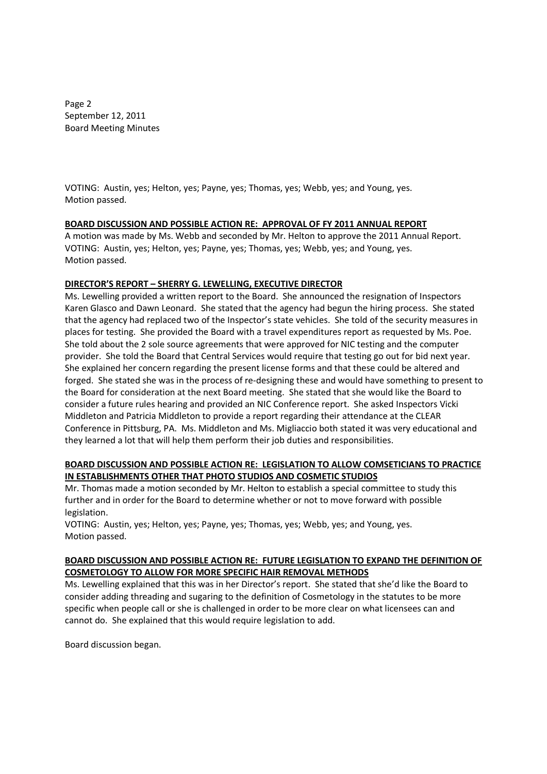Page 2 September 12, 2011 Board Meeting Minutes

VOTING: Austin, yes; Helton, yes; Payne, yes; Thomas, yes; Webb, yes; and Young, yes. Motion passed.

## **BOARD DISCUSSION AND POSSIBLE ACTION RE: APPROVAL OF FY 2011 ANNUAL REPORT**

A motion was made by Ms. Webb and seconded by Mr. Helton to approve the 2011 Annual Report. VOTING: Austin, yes; Helton, yes; Payne, yes; Thomas, yes; Webb, yes; and Young, yes. Motion passed.

## **DIRECTOR'S REPORT – SHERRY G. LEWELLING, EXECUTIVE DIRECTOR**

Ms. Lewelling provided a written report to the Board. She announced the resignation of Inspectors Karen Glasco and Dawn Leonard. She stated that the agency had begun the hiring process. She stated that the agency had replaced two of the Inspector's state vehicles. She told of the security measures in places for testing. She provided the Board with a travel expenditures report as requested by Ms. Poe. She told about the 2 sole source agreements that were approved for NIC testing and the computer provider. She told the Board that Central Services would require that testing go out for bid next year. She explained her concern regarding the present license forms and that these could be altered and forged. She stated she was in the process of re-designing these and would have something to present to the Board for consideration at the next Board meeting. She stated that she would like the Board to consider a future rules hearing and provided an NIC Conference report. She asked Inspectors Vicki Middleton and Patricia Middleton to provide a report regarding their attendance at the CLEAR Conference in Pittsburg, PA. Ms. Middleton and Ms. Migliaccio both stated it was very educational and they learned a lot that will help them perform their job duties and responsibilities.

## **BOARD DISCUSSION AND POSSIBLE ACTION RE: LEGISLATION TO ALLOW COMSETICIANS TO PRACTICE IN ESTABLISHMENTS OTHER THAT PHOTO STUDIOS AND COSMETIC STUDIOS**

Mr. Thomas made a motion seconded by Mr. Helton to establish a special committee to study this further and in order for the Board to determine whether or not to move forward with possible legislation.

VOTING: Austin, yes; Helton, yes; Payne, yes; Thomas, yes; Webb, yes; and Young, yes. Motion passed.

## **BOARD DISCUSSION AND POSSIBLE ACTION RE: FUTURE LEGISLATION TO EXPAND THE DEFINITION OF COSMETOLOGY TO ALLOW FOR MORE SPECIFIC HAIR REMOVAL METHODS**

Ms. Lewelling explained that this was in her Director's report. She stated that she'd like the Board to consider adding threading and sugaring to the definition of Cosmetology in the statutes to be more specific when people call or she is challenged in order to be more clear on what licensees can and cannot do. She explained that this would require legislation to add.

Board discussion began.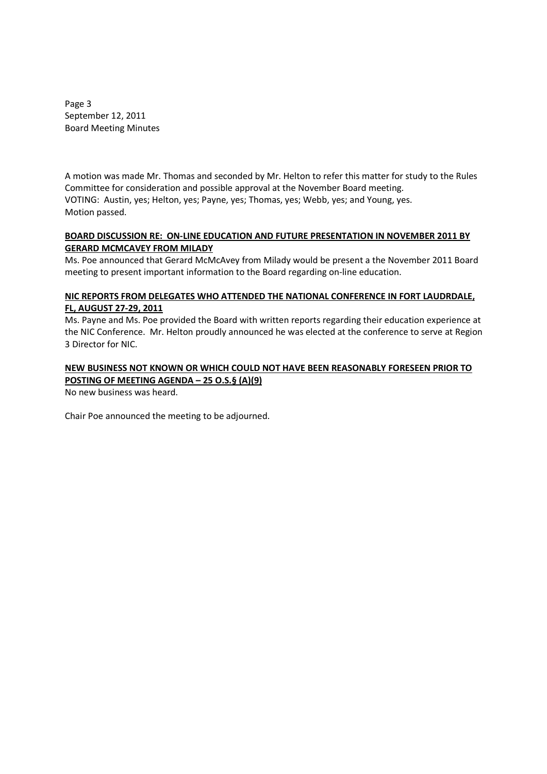Page 3 September 12, 2011 Board Meeting Minutes

A motion was made Mr. Thomas and seconded by Mr. Helton to refer this matter for study to the Rules Committee for consideration and possible approval at the November Board meeting. VOTING: Austin, yes; Helton, yes; Payne, yes; Thomas, yes; Webb, yes; and Young, yes. Motion passed.

## **BOARD DISCUSSION RE: ON-LINE EDUCATION AND FUTURE PRESENTATION IN NOVEMBER 2011 BY GERARD MCMCAVEY FROM MILADY**

Ms. Poe announced that Gerard McMcAvey from Milady would be present a the November 2011 Board meeting to present important information to the Board regarding on-line education.

# **NIC REPORTS FROM DELEGATES WHO ATTENDED THE NATIONAL CONFERENCE IN FORT LAUDRDALE, FL, AUGUST 27-29, 2011**

Ms. Payne and Ms. Poe provided the Board with written reports regarding their education experience at the NIC Conference. Mr. Helton proudly announced he was elected at the conference to serve at Region 3 Director for NIC.

# **NEW BUSINESS NOT KNOWN OR WHICH COULD NOT HAVE BEEN REASONABLY FORESEEN PRIOR TO POSTING OF MEETING AGENDA – 25 O.S.§ (A)(9)**

No new business was heard.

Chair Poe announced the meeting to be adjourned.